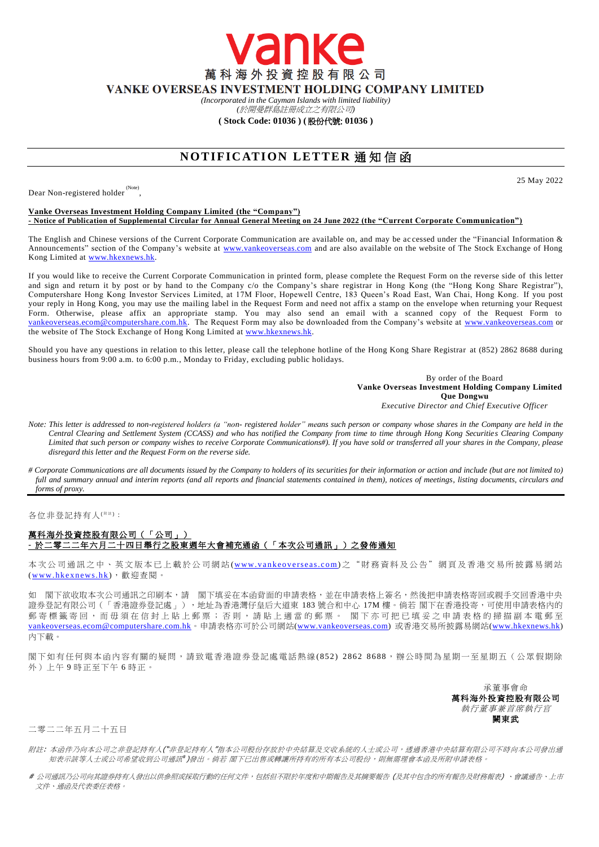萬科海外投資控股有限公司 VANKE OVERSEAS INVESTMENT HOLDING COMPANY LIMITED

anke

*(Incorporated in the Cayman Islands with limited liability)* 

*(*於開曼群島註冊成立之有限公司*)*

**( Stock Code: 01036 ) (** 股份代號: **01036 )**

## **NOTIFICATION LETTER 通知信函**

Dear Non-registered holder<sup>(Note)</sup>,

25 May 2022

## **Vanke Overseas Investment Holding Company Limited (the "Company") - Notice of Publication of Supplemental Circular for Annual General Meeting on 24 June 2022 (the "Current Corporate Communication")**

The English and Chinese versions of the Current Corporate Communication are available on, and may be ac cessed under the "Financial Information & Announcements" section of the Company's website at [www.vankeoverseas.com](http://www.vankeoverseas.com/) and are also available on the website of The Stock Exchange of Hong Kong Limited at [www.hkexnews.hk.](http://www.hkexnews.hk/)

If you would like to receive the Current Corporate Communication in printed form, please complete the Request Form on the reverse side of this letter and sign and return it by post or by hand to the Company c/o the Company's share registrar in Hong Kong (the "Hong Kong Share Registrar"), Computershare Hong Kong Investor Services Limited, at 17M Floor, Hopewell Centre, 183 Queen's Road East, Wan Chai, Hong Kong. If you post your reply in Hong Kong, you may use the mailing label in the Request Form and need not affix a stamp on the envelope when returning your Request Form. Otherwise, please affix an appropriate stamp. You may also send an email with a scanned copy of the Request Form to [vankeoverseas.ecom@computershare.com.hk.](mailto:vankeoverseas.ecom@computershare.com.hk) The Request Form may also be downloaded from the Company's website at [www.vankeoverseas.com](http://www.vankeoverseas.com/) or the website of The Stock Exchange of Hong Kong Limited at <u>www.hkexnews.hk</u>.

Should you have any questions in relation to this letter, please call the telephone hotline of the Hong Kong Share Registrar at (852) 2862 8688 during business hours from 9:00 a.m. to 6:00 p.m., Monday to Friday, excluding public holidays.

> By order of the Board **Vanke Overseas Investment Holding Company Limited Que Dongwu** *Executive Director and Chief Executive Officer*

- *Note: This letter is addressed to non-registered holders (a "non- registered holder" means such person or company whose shares in the Company are held in the Central Clearing and Settlement System (CCASS) and who has notified the Company from time to time through Hong Kong Securities Clearing Company Limited that such person or company wishes to receive Corporate Communications#). If you have sold or transferred all your shares in the Company, please disregard this letter and the Request Form on the reverse side.*
- *# Corporate Communications are all documents issued by the Company to holders of its securities for their information or action and include (but are not limited to) full and summary annual and interim reports (and all reports and financial statements contained in them), notices of meetings, listing documents, circulars and forms of proxy.*

各位非登記持有人<sup>( #注)</sup>:

## 萬科海外投資控股有限公司(「公司」) **-** 於二零二二年六月二十四日舉行之股東週年大會補充通函(「本次公司通訊」)之發佈通知

本次公司通訊之中、英文版本已上載於公司網站 (www.vankeoverseas.com) 之 "財 務 資料及公告"網頁及香港交易所披露易網站 (www.hkexnews.hk),歡迎查閱。

如 閣下欲收取本次公司通訊之印刷本,請 閣下填妥在本函背面的申請表格,並在申請表格上簽名,然後把申請表格寄回或親手交回香港中央 證券登記有限公司(「香港證券登記處」),地址為香港灣仔皇后大道東 183 號合和中心 17M 樓。倘若 閣下在香港投寄,可使用申請表格內的 郵 寄 標 籤 寄 回 , 而 毋 須 在 信 封 上 貼 上 郵 票 ; 否 則 , 請 貼 上 適 當 的 郵 票 。 閣 下 亦 可 把 已 填 妥 之 申 請 表 格 的 掃 描 副 本 電 郵 至 [vankeoverseas.ecom@computershare.com.hk](mailto:vankeoverseas.ecom@computershare.com.hk)。申請表格亦可於公司網站[\(www.vankeoverseas.com\)](http://www.vankeoverseas.com/) 或香港交易所披露易網站[\(www.hkexnews.hk\)](http://www.hkexnews.hk/) 內下載。

閣下如有任何與本函內容有關的疑問,請致電香港證券登記處電話熱線(852) 2862 8688,辦公時間為星期一至星期五(公眾假期除 外)上午 9 時正至下午 6 時正。

> 承董事會命 萬科海外投資控股有限公司 執行董事兼首席執行官 闕東武

二零二二年五月二十五日

- 附註: 本函件乃向本公司之非登記持有人("非登記持有人"指本公司股份存放於中央結算及交收系統的人士或公司,透過香港中央結算有限公司不時向本公司發出通 知表示該等人士或公司希望收到公司通訊 )發出。倘若 閣下已出售或轉讓所持有的所有本公司股份,則無需理會本函及所附申請表格。
- # 公司通訊乃公司向其證券持有人發出以供參照或採取行動的任何文件,包括但不限於年度和中期報告及其摘要報告 (及其中包含的所有報告及財務報表) 、會議通告、上市 文件、通函及代表委任表格。